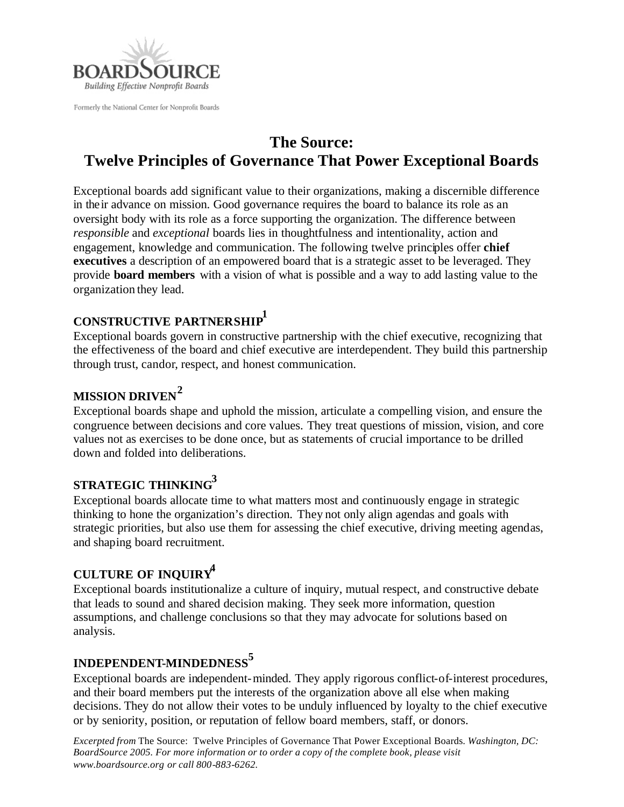

Formerly the National Center for Nonprofit Boards

## **The Source: Twelve Principles of Governance That Power Exceptional Boards**

Exceptional boards add significant value to their organizations, making a discernible difference in their advance on mission. Good governance requires the board to balance its role as an oversight body with its role as a force supporting the organization. The difference between *responsible* and *exceptional* boards lies in thoughtfulness and intentionality, action and engagement, knowledge and communication. The following twelve principles offer **chief executives** a description of an empowered board that is a strategic asset to be leveraged. They provide **board members** with a vision of what is possible and a way to add lasting value to the organization they lead.

# **CONSTRUCTIVE PARTNERSHIP<sup>1</sup>**

Exceptional boards govern in constructive partnership with the chief executive, recognizing that the effectiveness of the board and chief executive are interdependent. They build this partnership through trust, candor, respect, and honest communication.

## **MISSION DRIVEN<sup>2</sup>**

Exceptional boards shape and uphold the mission, articulate a compelling vision, and ensure the congruence between decisions and core values. They treat questions of mission, vision, and core values not as exercises to be done once, but as statements of crucial importance to be drilled down and folded into deliberations.

## **STRATEGIC THINKING<sup>3</sup>**

Exceptional boards allocate time to what matters most and continuously engage in strategic thinking to hone the organization's direction. They not only align agendas and goals with strategic priorities, but also use them for assessing the chief executive, driving meeting agendas, and shaping board recruitment.

#### **CULTURE OF INQUIRY<sup>4</sup>**

Exceptional boards institutionalize a culture of inquiry, mutual respect, and constructive debate that leads to sound and shared decision making. They seek more information, question assumptions, and challenge conclusions so that they may advocate for solutions based on analysis.

## **INDEPENDENT-MINDEDNESS<sup>5</sup>**

Exceptional boards are independent-minded. They apply rigorous conflict-of-interest procedures, and their board members put the interests of the organization above all else when making decisions. They do not allow their votes to be unduly influenced by loyalty to the chief executive or by seniority, position, or reputation of fellow board members, staff, or donors.

*Excerpted from* The Source: Twelve Principles of Governance That Power Exceptional Boards*. Washington, DC: BoardSource 2005. For more information or to order a copy of the complete book, please visit www.boardsource.org or call 800-883-6262.*